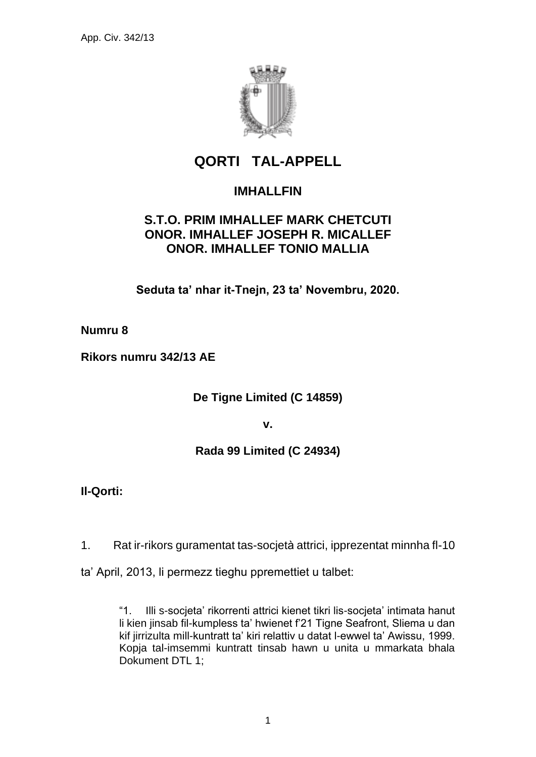

# **QORTI TAL-APPELL**

# **IMHALLFIN**

### **S.T.O. PRIM IMHALLEF MARK CHETCUTI ONOR. IMHALLEF JOSEPH R. MICALLEF ONOR. IMHALLEF TONIO MALLIA**

**Seduta ta' nhar it-Tnejn, 23 ta' Novembru, 2020.**

### **Numru 8**

**Rikors numru 342/13 AE**

**De Tigne Limited (C 14859)**

**v.**

## **Rada 99 Limited (C 24934)**

**Il-Qorti:**

1. Rat ir-rikors guramentat tas-socjetà attrici, ipprezentat minnha fl-10

ta' April, 2013, li permezz tieghu ppremettiet u talbet:

"1. Illi s-socjeta' rikorrenti attrici kienet tikri lis-socjeta' intimata hanut li kien jinsab fil-kumpless ta' hwienet f'21 Tigne Seafront, Sliema u dan kif jirrizulta mill-kuntratt ta' kiri relattiv u datat l-ewwel ta' Awissu, 1999. Kopja tal-imsemmi kuntratt tinsab hawn u unita u mmarkata bhala Dokument DTL 1;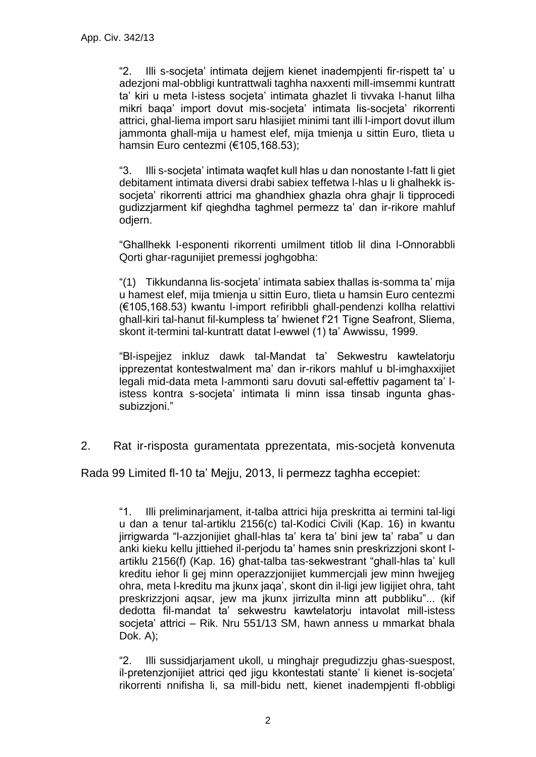"2. Illi s-socjeta' intimata dejjem kienet inadempjenti fir-rispett ta' u adezjoni mal-obbligi kuntrattwali taghha naxxenti mill-imsemmi kuntratt ta' kiri u meta l-istess socjeta' intimata ghazlet li tivvaka l-hanut lilha mikri baqa' import dovut mis-socjeta' intimata lis-socjeta' rikorrenti attrici, ghal-liema import saru hlasijiet minimi tant illi l-import dovut illum jammonta ghall-mija u hamest elef, mija tmienja u sittin Euro, tlieta u hamsin Euro centezmi (€105,168.53);

"3. Illi s-socjeta' intimata waqfet kull hlas u dan nonostante l-fatt li giet debitament intimata diversi drabi sabiex teffetwa l-hlas u li ghalhekk issocjeta' rikorrenti attrici ma ghandhiex ghazla ohra ghajr li tipprocedi gudizzjarment kif qieghdha taghmel permezz ta' dan ir-rikore mahluf odjern.

"Ghallhekk l-esponenti rikorrenti umilment titlob lil dina l-Onnorabbli Qorti ghar-ragunijiet premessi joghgobha:

"(1) Tikkundanna lis-socjeta' intimata sabiex thallas is-somma ta' mija u hamest elef, mija tmienja u sittin Euro, tlieta u hamsin Euro centezmi (€105,168.53) kwantu l-import refiribbli ghall-pendenzi kollha relattivi ghall-kiri tal-hanut fil-kumpless ta' hwienet f'21 Tigne Seafront, Sliema, skont it-termini tal-kuntratt datat l-ewwel (1) ta' Awwissu, 1999.

"Bl-ispejjez inkluz dawk tal-Mandat ta' Sekwestru kawtelatorju ipprezentat kontestwalment ma' dan ir-rikors mahluf u bl-imghaxxijiet legali mid-data meta l-ammonti saru dovuti sal-effettiv pagament ta' listess kontra s-socjeta' intimata li minn issa tinsab ingunta ghassubizzjoni."

2. Rat ir-risposta guramentata pprezentata, mis-socjetà konvenuta

Rada 99 Limited fl-10 ta' Mejju, 2013, li permezz taghha eccepiet:

"1. Illi preliminarjament, it-talba attrici hija preskritta ai termini tal-ligi u dan a tenur tal-artiklu 2156(c) tal-Kodici Civili (Kap. 16) in kwantu jirrigwarda "l-azzjonijiet ghall-hlas ta' kera ta' bini jew ta' raba" u dan anki kieku kellu jittiehed il-perjodu ta' hames snin preskrizzjoni skont lartiklu 2156(f) (Kap. 16) ghat-talba tas-sekwestrant "ghall-hlas ta' kull kreditu iehor li gej minn operazzjonijiet kummercjali jew minn hwejjeg ohra, meta l-kreditu ma jkunx jaqa', skont din il-ligi jew ligijiet ohra, taht preskrizzjoni aqsar, jew ma jkunx jirrizulta minn att pubbliku"... (kif dedotta fil-mandat ta' sekwestru kawtelatorju intavolat mill-istess socjeta' attrici – Rik. Nru 551/13 SM, hawn anness u mmarkat bhala Dok. A);

"2. Illi sussidjarjament ukoll, u minghajr pregudizzju ghas-suespost, il-pretenzjonijiet attrici qed jigu kkontestati stante' li kienet is-socjeta' rikorrenti nnifisha li, sa mill-bidu nett, kienet inadempjenti fl-obbligi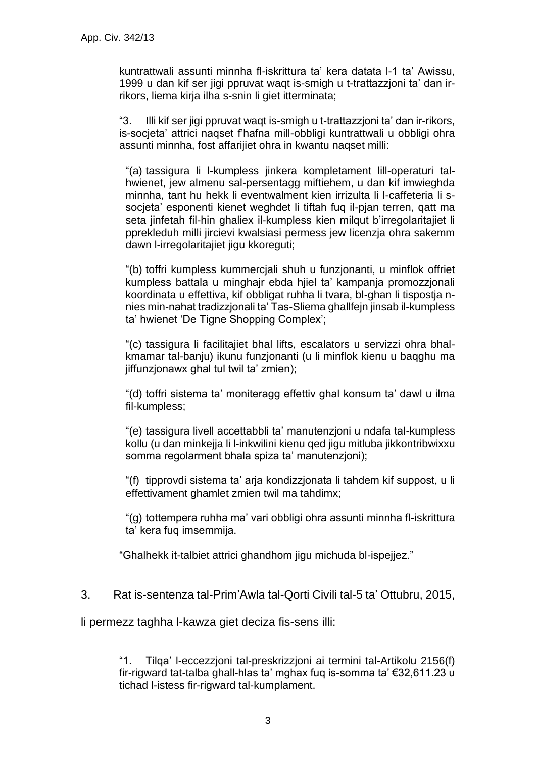kuntrattwali assunti minnha fl-iskrittura ta' kera datata l-1 ta' Awissu, 1999 u dan kif ser jigi ppruvat waqt is-smigh u t-trattazzjoni ta' dan irrikors, liema kirja ilha s-snin li giet itterminata;

"3. Illi kif ser jigi ppruvat waqt is-smigh u t-trattazzjoni ta' dan ir-rikors, is-socjeta' attrici naqset f'hafna mill-obbligi kuntrattwali u obbligi ohra assunti minnha, fost affarijiet ohra in kwantu naqset milli:

"(a) tassigura li l-kumpless jinkera kompletament lill-operaturi talhwienet, jew almenu sal-persentagg miftiehem, u dan kif imwieghda minnha, tant hu hekk li eventwalment kien irrizulta li l-caffeteria li ssocjeta' esponenti kienet weghdet li tiftah fuq il-pjan terren, qatt ma seta jinfetah fil-hin ghaliex il-kumpless kien milqut b'irregolaritajiet li pprekleduh milli jircievi kwalsiasi permess jew licenzja ohra sakemm dawn l-irregolaritajiet jigu kkoreguti;

"(b) toffri kumpless kummercjali shuh u funzjonanti, u minflok offriet kumpless battala u minghajr ebda hjiel ta' kampanja promozzjonali koordinata u effettiva, kif obbligat ruhha li tvara, bl-ghan li tispostja nnies min-nahat tradizzjonali ta' Tas-Sliema ghallfejn jinsab il-kumpless ta' hwienet 'De Tigne Shopping Complex';

"(c) tassigura li facilitajiet bhal lifts, escalators u servizzi ohra bhalkmamar tal-banju) ikunu funzjonanti (u li minflok kienu u baqghu ma jiffunzjonawx ghal tul twil ta' zmien);

"(d) toffri sistema ta' moniteragg effettiv ghal konsum ta' dawl u ilma fil-kumpless;

"(e) tassigura livell accettabbli ta' manutenzjoni u ndafa tal-kumpless kollu (u dan minkejja li l-inkwilini kienu qed jigu mitluba jikkontribwixxu somma regolarment bhala spiza ta' manutenzjoni);

"(f) tipprovdi sistema ta' arja kondizzjonata li tahdem kif suppost, u li effettivament ghamlet zmien twil ma tahdimx;

"(g) tottempera ruhha ma' vari obbligi ohra assunti minnha fl-iskrittura ta' kera fuq imsemmija.

"Ghalhekk it-talbiet attrici ghandhom jigu michuda bl-ispejjez."

3. Rat is-sentenza tal-Prim'Awla tal-Qorti Civili tal-5 ta' Ottubru, 2015,

li permezz taghha l-kawza giet deciza fis-sens illi:

"1. Tilqa' l-eccezzjoni tal-preskrizzjoni ai termini tal-Artikolu 2156(f) fir-rigward tat-talba ghall-hlas ta' mghax fuq is-somma ta' €32,611.23 u tichad l-istess fir-rigward tal-kumplament.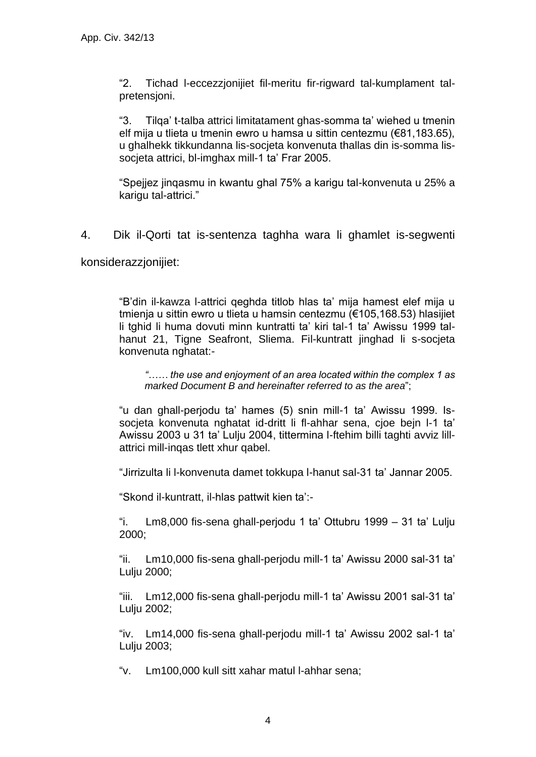"2. Tichad l-eccezzjonijiet fil-meritu fir-rigward tal-kumplament talpretensjoni.

"3. Tilqa' t-talba attrici limitatament ghas-somma ta' wiehed u tmenin elf mija u tlieta u tmenin ewro u hamsa u sittin centezmu (€81,183.65), u ghalhekk tikkundanna lis-socjeta konvenuta thallas din is-somma lissocjeta attrici, bl-imghax mill-1 ta' Frar 2005.

"Spejjez jinqasmu in kwantu ghal 75% a karigu tal-konvenuta u 25% a karigu tal-attrici."

4. Dik il-Qorti tat is-sentenza taghha wara li ghamlet is-segwenti

konsiderazzjonijiet:

"B'din il-kawza l-attrici qeghda titlob hlas ta' mija hamest elef mija u tmienja u sittin ewro u tlieta u hamsin centezmu (€105,168.53) hlasijiet li tghid li huma dovuti minn kuntratti ta' kiri tal-1 ta' Awissu 1999 talhanut 21, Tigne Seafront, Sliema. Fil-kuntratt jinghad li s-socjeta konvenuta nghatat:-

*"…… the use and enjoyment of an area located within the complex 1 as marked Document B and hereinafter referred to as the area*";

"u dan ghall-perjodu ta' hames (5) snin mill-1 ta' Awissu 1999. Issocjeta konvenuta nghatat id-dritt li fl-ahhar sena, cjoe bejn l-1 ta' Awissu 2003 u 31 ta' Lulju 2004, tittermina l-ftehim billi taghti avviz lillattrici mill-inqas tlett xhur qabel.

"Jirrizulta li l-konvenuta damet tokkupa l-hanut sal-31 ta' Jannar 2005.

"Skond il-kuntratt, il-hlas pattwit kien ta':-

"i. Lm8,000 fis-sena ghall-perjodu 1 ta' Ottubru 1999 – 31 ta' Lulju 2000;

"ii. Lm10,000 fis-sena ghall-perjodu mill-1 ta' Awissu 2000 sal-31 ta' Lulju 2000;

"iii. Lm12,000 fis-sena ghall-perjodu mill-1 ta' Awissu 2001 sal-31 ta' Lulju 2002;

"iv. Lm14,000 fis-sena ghall-perjodu mill-1 ta' Awissu 2002 sal-1 ta' Lulju 2003;

"v. Lm100,000 kull sitt xahar matul l-ahhar sena;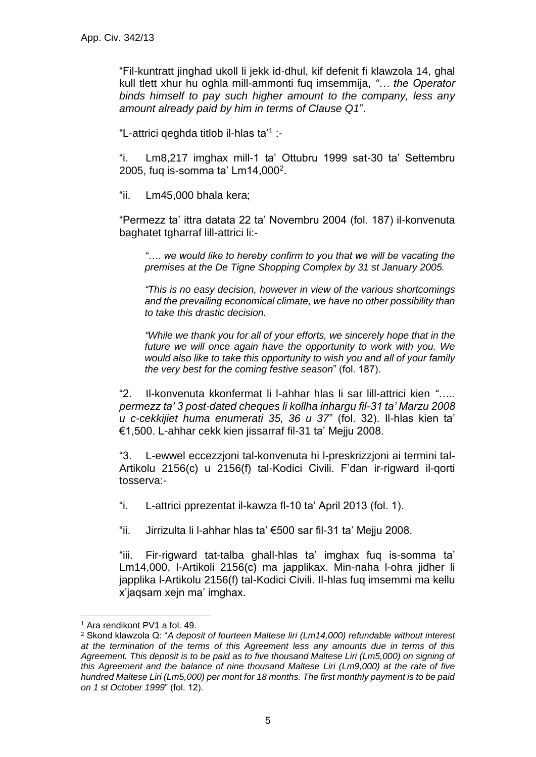"Fil-kuntratt jinghad ukoll li jekk id-dhul, kif defenit fi klawzola 14, ghal kull tlett xhur hu oghla mill-ammonti fuq imsemmija, *"… the Operator binds himself to pay such higher amount to the company, less any amount already paid by him in terms of Clause Q1*".

"L-attrici qeghda titlob il-hlas ta'<sup>1</sup> :-

"i. Lm8,217 imghax mill-1 ta' Ottubru 1999 sat-30 ta' Settembru 2005, fuq is-somma ta' Lm14,000<sup>2</sup>.

"ii. Lm45,000 bhala kera;

"Permezz ta' ittra datata 22 ta' Novembru 2004 (fol. 187) il-konvenuta baghatet tgharraf lill-attrici li:-

*"…. we would like to hereby confirm to you that we will be vacating the premises at the De Tigne Shopping Complex by 31 st January 2005.* 

*"This is no easy decision, however in view of the various shortcomings and the prevailing economical climate, we have no other possibility than to take this drastic decision.* 

*"While we thank you for all of your efforts, we sincerely hope that in the future we will once again have the opportunity to work with you. We would also like to take this opportunity to wish you and all of your family the very best for the coming festive season*" (fol. 187).

"2. Il-konvenuta kkonfermat li l-ahhar hlas li sar lill-attrici kien *"….. permezz ta' 3 post-dated cheques li kollha inhargu fil-31 ta' Marzu 2008 u c-cekkijiet huma enumerati 35, 36 u 37*" (fol. 32). Il-hlas kien ta' €1,500. L-ahhar cekk kien jissarraf fil-31 ta' Mejju 2008.

"3. L-ewwel eccezzjoni tal-konvenuta hi l-preskrizzjoni ai termini tal-Artikolu 2156(c) u 2156(f) tal-Kodici Civili. F'dan ir-rigward il-qorti tosserva:-

"i. L-attrici pprezentat il-kawza fl-10 ta' April 2013 (fol. 1).

"ii. Jirrizulta li l-ahhar hlas ta' €500 sar fil-31 ta' Mejju 2008.

"iii. Fir-rigward tat-talba ghall-hlas ta' imghax fuq is-somma ta' Lm14,000, l-Artikoli 2156(c) ma japplikax. Min-naha l-ohra jidher li japplika l-Artikolu 2156(f) tal-Kodici Civili. Il-hlas fuq imsemmi ma kellu x'jaqsam xejn ma' imghax.

<sup>1</sup> Ara rendikont PV1 a fol. 49.

<sup>2</sup> Skond klawzola Q: "*A deposit of fourteen Maltese liri (Lm14,000) refundable without interest at the termination of the terms of this Agreement less any amounts due in terms of this Agreement. This deposit is to be paid as to five thousand Maltese Liri (Lm5,000) on signing of this Agreement and the balance of nine thousand Maltese Liri (Lm9,000) at the rate of five hundred Maltese Liri (Lm5,000) per mont for 18 months. The first monthly payment is to be paid on 1 st October 1999*" (fol. 12).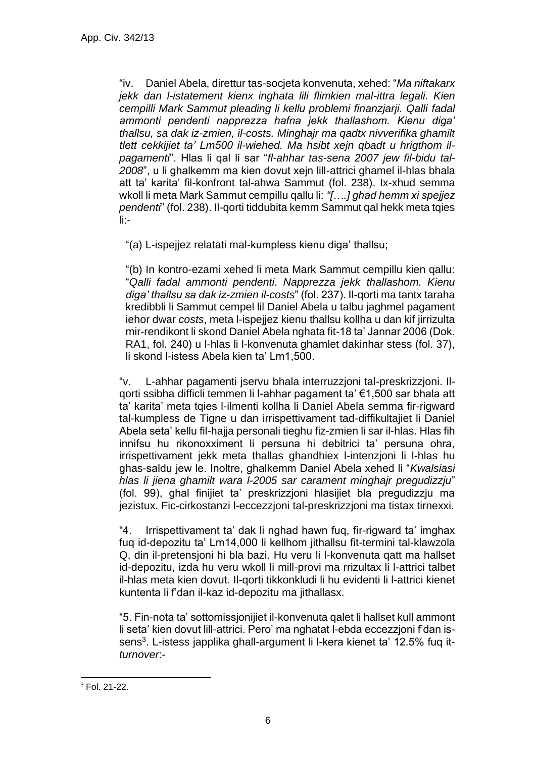"iv. Daniel Abela, direttur tas-socjeta konvenuta, xehed: "*Ma niftakarx jekk dan l-istatement kienx inghata lili flimkien mal-ittra legali. Kien cempilli Mark Sammut pleading li kellu problemi finanzjarji. Qalli fadal ammonti pendenti napprezza hafna jekk thallashom. Kienu diga' thallsu, sa dak iz-zmien, il-costs. Minghajr ma qadtx nivverifika ghamilt tlett cekkijiet ta' Lm500 il-wiehed. Ma hsibt xejn qbadt u hrigthom ilpagamenti*". Hlas li qal li sar "*fl-ahhar tas-sena 2007 jew fil-bidu tal-2008*", u li ghalkemm ma kien dovut xejn lill-attrici ghamel il-hlas bhala att ta' karita' fil-konfront tal-ahwa Sammut (fol. 238). Ix-xhud semma wkoll li meta Mark Sammut cempillu qallu li: *"[….] ghad hemm xi spejjez pendenti*" (fol. 238). Il-qorti tiddubita kemm Sammut qal hekk meta tqies li:-

"(a) L-ispejjez relatati mal-kumpless kienu diga' thallsu;

"(b) In kontro-ezami xehed li meta Mark Sammut cempillu kien qallu: "*Qalli fadal ammonti pendenti. Napprezza jekk thallashom. Kienu diga' thallsu sa dak iz-zmien il-costs*" (fol. 237). Il-qorti ma tantx taraha kredibbli li Sammut cempel lil Daniel Abela u talbu jaghmel pagament iehor dwar *costs*, meta l-ispejjez kienu thallsu kollha u dan kif jirrizulta mir-rendikont li skond Daniel Abela nghata fit-18 ta' Jannar 2006 (Dok. RA1, fol. 240) u l-hlas li l-konvenuta ghamlet dakinhar stess (fol. 37), li skond l-istess Abela kien ta' Lm1,500.

"v. L-ahhar pagamenti jservu bhala interruzzjoni tal-preskrizzjoni. Ilqorti ssibha difficli temmen li l-ahhar pagament ta' €1,500 sar bhala att ta' karita' meta tqies l-ilmenti kollha li Daniel Abela semma fir-rigward tal-kumpless de Tigne u dan irrispettivament tad-diffikultajiet li Daniel Abela seta' kellu fil-hajja personali tieghu fiz-zmien li sar il-hlas. Hlas fih innifsu hu rikonoxximent li persuna hi debitrici ta' persuna ohra, irrispettivament jekk meta thallas ghandhiex l-intenzjoni li l-hlas hu ghas-saldu jew le. Inoltre, ghalkemm Daniel Abela xehed li "*Kwalsiasi hlas li jiena ghamilt wara l-2005 sar carament minghajr pregudizzju*" (fol. 99), ghal finijiet ta' preskrizzjoni hlasijiet bla pregudizzju ma jezistux. Fic-cirkostanzi l-eccezzjoni tal-preskrizzjoni ma tistax tirnexxi.

"4. Irrispettivament ta' dak li nghad hawn fuq, fir-rigward ta' imghax fuq id-depozitu ta' Lm14,000 li kellhom jithallsu fit-termini tal-klawzola Q, din il-pretensjoni hi bla bazi. Hu veru li l-konvenuta qatt ma hallset id-depozitu, izda hu veru wkoll li mill-provi ma rrizultax li l-attrici talbet il-hlas meta kien dovut. Il-qorti tikkonkludi li hu evidenti li l-attrici kienet kuntenta li f'dan il-kaz id-depozitu ma jithallasx.

"5. Fin-nota ta' sottomissjonijiet il-konvenuta qalet li hallset kull ammont li seta' kien dovut lill-attrici. Pero' ma nghatat l-ebda eccezzjoni f'dan issens<sup>3</sup>. L-istess japplika ghall-argument li l-kera kienet ta' 12.5% fuq it*turnover*:-

<sup>3</sup> Fol. 21-22.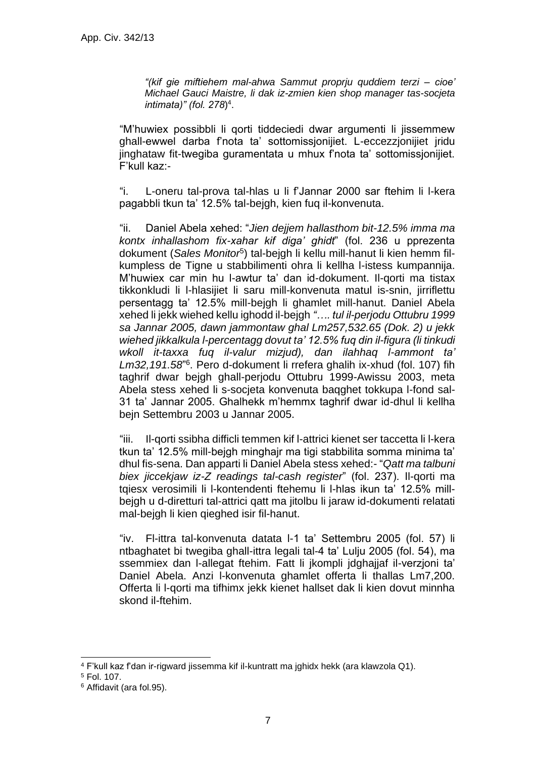*"(kif gie miftiehem mal-ahwa Sammut proprju quddiem terzi – cioe' Michael Gauci Maistre, li dak iz-zmien kien shop manager tas-socjeta intimata)" (fol. 278*) 4 .

"M'huwiex possibbli li qorti tiddeciedi dwar argumenti li jissemmew ghall-ewwel darba f'nota ta' sottomissjonijiet. L-eccezzjonijiet jridu jinghataw fit-twegiba guramentata u mhux f'nota ta' sottomissjonijiet. F'kull kaz:-

"i. L-oneru tal-prova tal-hlas u li f'Jannar 2000 sar ftehim li l-kera pagabbli tkun ta' 12.5% tal-bejgh, kien fuq il-konvenuta.

"ii. Daniel Abela xehed: "*Jien dejjem hallasthom bit-12.5% imma ma kontx inhallashom fix-xahar kif diga' ghidt*" (fol. 236 u pprezenta dokument (Sales Monitor<sup>5</sup>) tal-bejgh li kellu mill-hanut li kien hemm filkumpless de Tigne u stabbilimenti ohra li kellha l-istess kumpannija. M'huwiex car min hu l-awtur ta' dan id-dokument. Il-qorti ma tistax tikkonkludi li l-hlasijiet li saru mill-konvenuta matul is-snin, jirriflettu persentagg ta' 12.5% mill-bejgh li ghamlet mill-hanut. Daniel Abela xehed li jekk wiehed kellu ighodd il-bejgh *"…. tul il-perjodu Ottubru 1999 sa Jannar 2005, dawn jammontaw ghal Lm257,532.65 (Dok. 2) u jekk wiehed jikkalkula l-percentagg dovut ta' 12.5% fuq din il-figura (li tinkudi wkoll it-taxxa fuq il-valur mizjud), dan ilahhaq l-ammont ta'*  Lm32, 191.58<sup>"6</sup>. Pero d-dokument li rrefera ghalih ix-xhud (fol. 107) fih taghrif dwar bejgh ghall-perjodu Ottubru 1999-Awissu 2003, meta Abela stess xehed li s-societa konvenuta bagghet tokkupa l-fond sal-31 ta' Jannar 2005. Ghalhekk m'hemmx taghrif dwar id-dhul li kellha bejn Settembru 2003 u Jannar 2005.

"iii. Il-qorti ssibha difficli temmen kif l-attrici kienet ser taccetta li l-kera tkun ta' 12.5% mill-bejgh minghajr ma tigi stabbilita somma minima ta' dhul fis-sena. Dan apparti li Daniel Abela stess xehed:- "*Qatt ma talbuni biex jiccekjaw iz-Z readings tal-cash register*" (fol. 237). Il-qorti ma tqiesx verosimili li l-kontendenti ftehemu li l-hlas ikun ta' 12.5% millbejgh u d-diretturi tal-attrici qatt ma jitolbu li jaraw id-dokumenti relatati mal-bejgh li kien qieghed isir fil-hanut.

"iv. Fl-ittra tal-konvenuta datata l-1 ta' Settembru 2005 (fol. 57) li ntbaghatet bi twegiba ghall-ittra legali tal-4 ta' Lulju 2005 (fol. 54), ma ssemmiex dan l-allegat ftehim. Fatt li jkompli jdghajjaf il-verzjoni ta' Daniel Abela. Anzi l-konvenuta ghamlet offerta li thallas Lm7,200. Offerta li l-qorti ma tifhimx jekk kienet hallset dak li kien dovut minnha skond il-ftehim.

<sup>4</sup> F'kull kaz f'dan ir-rigward jissemma kif il-kuntratt ma jghidx hekk (ara klawzola Q1).

<sup>5</sup> Fol. 107.

<sup>6</sup> Affidavit (ara fol.95).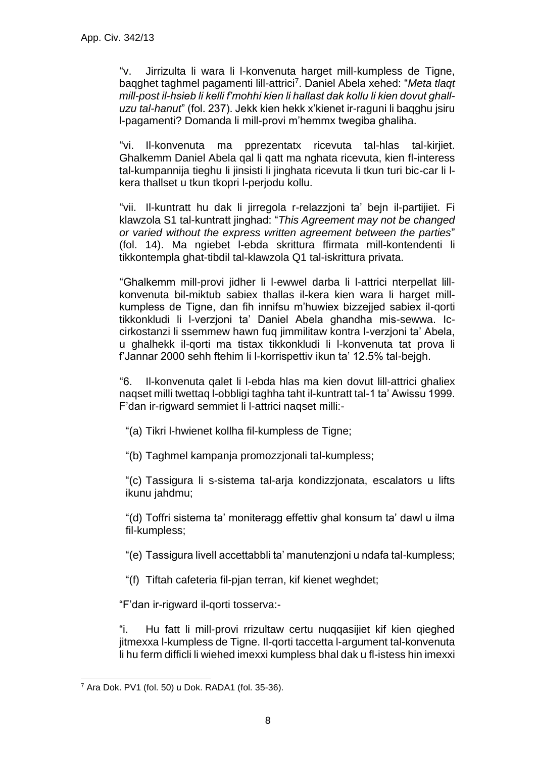"v. Jirrizulta li wara li l-konvenuta harget mill-kumpless de Tigne, baqghet taghmel pagamenti lill-attrici<sup>7</sup> . Daniel Abela xehed: "*Meta tlaqt mill-post il-hsieb li kelli f'mohhi kien li hallast dak kollu li kien dovut ghalluzu tal-hanut*" (fol. 237). Jekk kien hekk x'kienet ir-raguni li baqghu jsiru l-pagamenti? Domanda li mill-provi m'hemmx twegiba ghaliha.

"vi. Il-konvenuta ma pprezentatx ricevuta tal-hlas tal-kirjiet. Ghalkemm Daniel Abela qal li qatt ma nghata ricevuta, kien fl-interess tal-kumpannija tieghu li jinsisti li jinghata ricevuta li tkun turi bic-car li lkera thallset u tkun tkopri l-perjodu kollu.

"vii. Il-kuntratt hu dak li jirregola r-relazzjoni ta' bejn il-partijiet. Fi klawzola S1 tal-kuntratt jinghad: "*This Agreement may not be changed or varied without the express written agreement between the parties*" (fol. 14). Ma ngiebet l-ebda skrittura ffirmata mill-kontendenti li tikkontempla ghat-tibdil tal-klawzola Q1 tal-iskrittura privata.

"Ghalkemm mill-provi jidher li l-ewwel darba li l-attrici nterpellat lillkonvenuta bil-miktub sabiex thallas il-kera kien wara li harget millkumpless de Tigne, dan fih innifsu m'huwiex bizzejjed sabiex il-qorti tikkonkludi li l-verzjoni ta' Daniel Abela ghandha mis-sewwa. Iccirkostanzi li ssemmew hawn fuq jimmilitaw kontra l-verzjoni ta' Abela, u ghalhekk il-qorti ma tistax tikkonkludi li l-konvenuta tat prova li f'Jannar 2000 sehh ftehim li l-korrispettiv ikun ta' 12.5% tal-bejgh.

"6. Il-konvenuta qalet li l-ebda hlas ma kien dovut lill-attrici ghaliex naqset milli twettaq l-obbligi taghha taht il-kuntratt tal-1 ta' Awissu 1999. F'dan ir-rigward semmiet li l-attrici naqset milli:-

"(a) Tikri l-hwienet kollha fil-kumpless de Tigne;

"(b) Taghmel kampanja promozzjonali tal-kumpless;

"(c) Tassigura li s-sistema tal-arja kondizzjonata, escalators u lifts ikunu jahdmu;

"(d) Toffri sistema ta' moniteragg effettiv ghal konsum ta' dawl u ilma fil-kumpless;

"(e) Tassigura livell accettabbli ta' manutenzjoni u ndafa tal-kumpless;

"(f) Tiftah cafeteria fil-pjan terran, kif kienet weghdet;

"F'dan ir-rigward il-qorti tosserva:-

"i. Hu fatt li mill-provi rrizultaw certu nuqqasijiet kif kien qieghed jitmexxa l-kumpless de Tigne. Il-qorti taccetta l-argument tal-konvenuta li hu ferm difficli li wiehed imexxi kumpless bhal dak u fl-istess hin imexxi

<sup>7</sup> Ara Dok. PV1 (fol. 50) u Dok. RADA1 (fol. 35-36).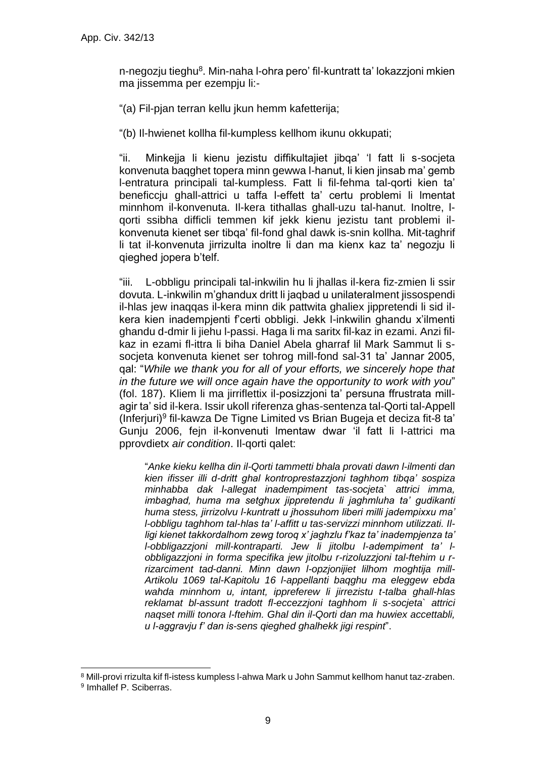n-negozju tieghu<sup>8</sup>. Min-naha l-ohra pero' fil-kuntratt ta' lokazzjoni mkien ma jissemma per ezempju li:-

"(a) Fil-pjan terran kellu jkun hemm kafetterija;

"(b) Il-hwienet kollha fil-kumpless kellhom ikunu okkupati;

"ii. Minkejja li kienu jezistu diffikultajiet jibqa' 'l fatt li s-socjeta konvenuta baqghet topera minn gewwa l-hanut, li kien jinsab ma' gemb l-entratura principali tal-kumpless. Fatt li fil-fehma tal-qorti kien ta' beneficcju ghall-attrici u taffa l-effett ta' certu problemi li lmentat minnhom il-konvenuta. Il-kera tithallas ghall-uzu tal-hanut. Inoltre, lqorti ssibha difficli temmen kif jekk kienu jezistu tant problemi ilkonvenuta kienet ser tibqa' fil-fond ghal dawk is-snin kollha. Mit-taghrif li tat il-konvenuta jirrizulta inoltre li dan ma kienx kaz ta' negozju li qieghed jopera b'telf.

"iii. L-obbligu principali tal-inkwilin hu li jhallas il-kera fiz-zmien li ssir dovuta. L-inkwilin m'ghandux dritt li jaqbad u unilateralment jissospendi il-hlas jew inaqqas il-kera minn dik pattwita ghaliex jippretendi li sid ilkera kien inadempjenti f'certi obbligi. Jekk l-inkwilin ghandu x'ilmenti ghandu d-dmir li jiehu l-passi. Haga li ma saritx fil-kaz in ezami. Anzi filkaz in ezami fl-ittra li biha Daniel Abela gharraf lil Mark Sammut li ssocjeta konvenuta kienet ser tohrog mill-fond sal-31 ta' Jannar 2005, qal: "*While we thank you for all of your efforts, we sincerely hope that in the future we will once again have the opportunity to work with you*" (fol. 187). Kliem li ma jirriflettix il-posizzjoni ta' persuna ffrustrata millagir ta' sid il-kera. Issir ukoll riferenza ghas-sentenza tal-Qorti tal-Appell (Inferjuri)<sup>9</sup> fil-kawza De Tigne Limited vs Brian Bugeja et deciza fit-8 ta' Gunju 2006, fejn il-konvenuti lmentaw dwar 'il fatt li l-attrici ma pprovdietx *air condition*. Il-qorti qalet:

"*Anke kieku kellha din il-Qorti tammetti bhala provati dawn l-ilmenti dan kien ifisser illi d-dritt ghal kontroprestazzjoni taghhom tibqa' sospiza minhabba dak l-allegat inadempiment tas-socjeta` attrici imma, imbaghad, huma ma setghux jippretendu li jaghmluha ta' gudikanti huma stess, jirrizolvu l-kuntratt u jhossuhom liberi milli jadempixxu ma' l-obbligu taghhom tal-hlas ta' l-affitt u tas-servizzi minnhom utilizzati. Illigi kienet takkordalhom zewg toroq x' jaghzlu f'kaz ta' inadempjenza ta' l-obbligazzjoni mill-kontraparti. Jew li jitolbu l-adempiment ta' lobbligazzjoni in forma specifika jew jitolbu r-rizoluzzjoni tal-ftehim u rrizarciment tad-danni. Minn dawn l-opzjonijiet lilhom moghtija mill-Artikolu 1069 tal-Kapitolu 16 l-appellanti baqghu ma eleggew ebda wahda minnhom u, intant, ippreferew li jirrezistu t-talba ghall-hlas reklamat bl-assunt tradott fl-eccezzjoni taghhom li s-socjeta` attrici naqset milli tonora l-ftehim. Ghal din il-Qorti dan ma huwiex accettabli, u l-aggravju f' dan is-sens qieghed ghalhekk jigi respint*".

<sup>8</sup> Mill-provi rrizulta kif fl-istess kumpless l-ahwa Mark u John Sammut kellhom hanut taz-zraben. 9 Imhallef P. Sciberras.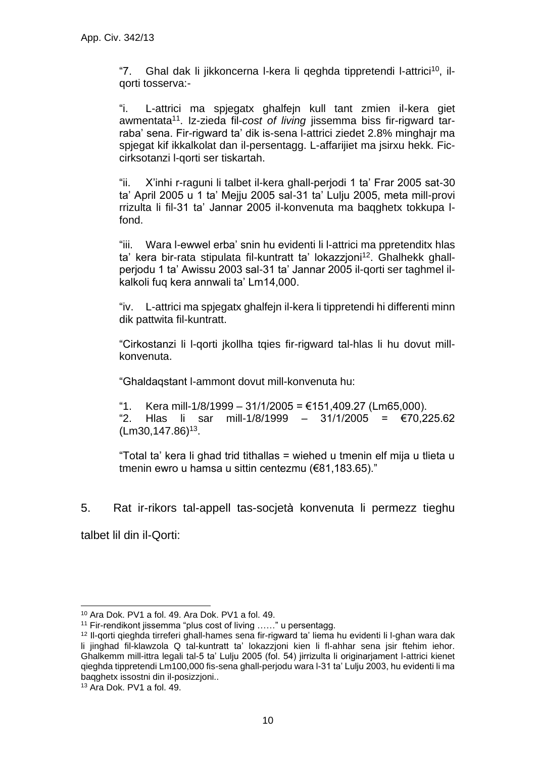"7. Ghal dak li jikkoncerna l-kera li qeghda tippretendi l-attrici<sup>10</sup>, ilqorti tosserva:-

"i. L-attrici ma spjegatx ghalfejn kull tant zmien il-kera giet awmentata<sup>11</sup>. Iz-zieda fil-*cost of living* jissemma biss fir-rigward tarraba' sena. Fir-rigward ta' dik is-sena l-attrici ziedet 2.8% minghajr ma spjegat kif ikkalkolat dan il-persentagg. L-affarijiet ma jsirxu hekk. Ficcirksotanzi l-qorti ser tiskartah.

"ii. X'inhi r-raguni li talbet il-kera ghall-perjodi 1 ta' Frar 2005 sat-30 ta' April 2005 u 1 ta' Mejju 2005 sal-31 ta' Lulju 2005, meta mill-provi rrizulta li fil-31 ta' Jannar 2005 il-konvenuta ma baqghetx tokkupa lfond.

"iii. Wara l-ewwel erba' snin hu evidenti li l-attrici ma ppretenditx hlas ta' kera bir-rata stipulata fil-kuntratt ta' lokazzjoni<sup>12</sup>. Ghalhekk ghallperjodu 1 ta' Awissu 2003 sal-31 ta' Jannar 2005 il-qorti ser taghmel ilkalkoli fuq kera annwali ta' Lm14,000.

"iv. L-attrici ma spjegatx ghalfejn il-kera li tippretendi hi differenti minn dik pattwita fil-kuntratt.

"Cirkostanzi li l-qorti jkollha tqies fir-rigward tal-hlas li hu dovut millkonvenuta.

"Ghaldaqstant l-ammont dovut mill-konvenuta hu:

"1. Kera mill-1/8/1999 – 31/1/2005 = €151,409.27 (Lm65,000). "2. Hlas li sar mill-1/8/1999 – 31/1/2005 = €70,225.62  $(Lm30, 147.86)^{13}$ .

"Total ta' kera li ghad trid tithallas = wiehed u tmenin elf mija u tlieta u tmenin ewro u hamsa u sittin centezmu (€81,183.65)."

5. Rat ir-rikors tal-appell tas-socjetà konvenuta li permezz tieghu talbet lil din il-Qorti:

<sup>10</sup> Ara Dok. PV1 a fol. 49. Ara Dok. PV1 a fol. 49.

<sup>11</sup> Fir-rendikont jissemma "plus cost of living ……" u persentagg.

<sup>12</sup> Il-qorti qieghda tirreferi ghall-hames sena fir-rigward ta' liema hu evidenti li l-ghan wara dak li jinghad fil-klawzola Q tal-kuntratt ta' lokazzjoni kien li fl-ahhar sena jsir ftehim iehor. Ghalkemm mill-ittra legali tal-5 ta' Lulju 2005 (fol. 54) jirrizulta li originarjament l-attrici kienet qieghda tippretendi Lm100,000 fis-sena ghall-perjodu wara l-31 ta' Lulju 2003, hu evidenti li ma baqghetx issostni din il-posizzjoni..

<sup>13</sup> Ara Dok. PV1 a fol. 49.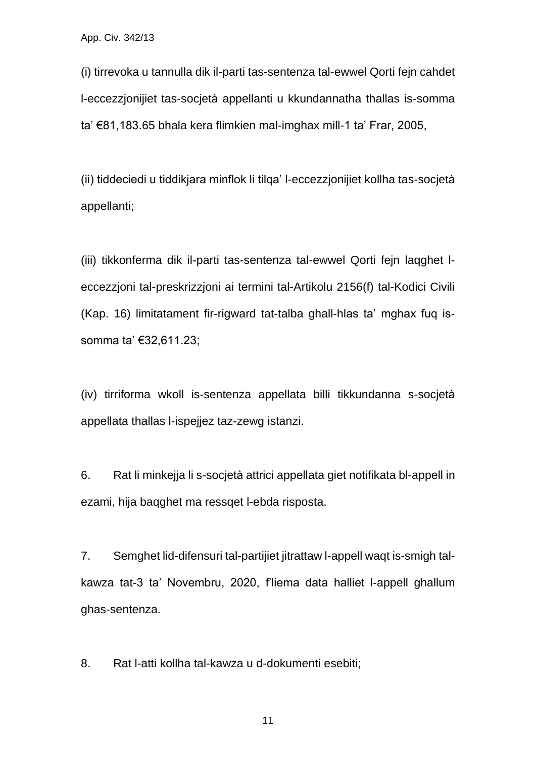App. Civ. 342/13

(i) tirrevoka u tannulla dik il-parti tas-sentenza tal-ewwel Qorti fejn cahdet l-eccezzjonijiet tas-socjetà appellanti u kkundannatha thallas is-somma ta' €81,183.65 bhala kera flimkien mal-imghax mill-1 ta' Frar, 2005,

(ii) tiddeciedi u tiddikjara minflok li tilqa' l-eccezzjonijiet kollha tas-socjetà appellanti;

(iii) tikkonferma dik il-parti tas-sentenza tal-ewwel Qorti fejn laqghet leccezzjoni tal-preskrizzjoni ai termini tal-Artikolu 2156(f) tal-Kodici Civili (Kap. 16) limitatament fir-rigward tat-talba ghall-hlas ta' mghax fuq issomma ta' €32,611.23;

(iv) tirriforma wkoll is-sentenza appellata billi tikkundanna s-socjetà appellata thallas l-ispejjez taz-zewg istanzi.

6. Rat li minkejja li s-socjetà attrici appellata giet notifikata bl-appell in ezami, hija baqghet ma ressqet l-ebda risposta.

7. Semghet lid-difensuri tal-partijiet jitrattaw l-appell waqt is-smigh talkawza tat-3 ta' Novembru, 2020, f'liema data halliet l-appell ghallum ghas-sentenza.

8. Rat l-atti kollha tal-kawza u d-dokumenti esebiti;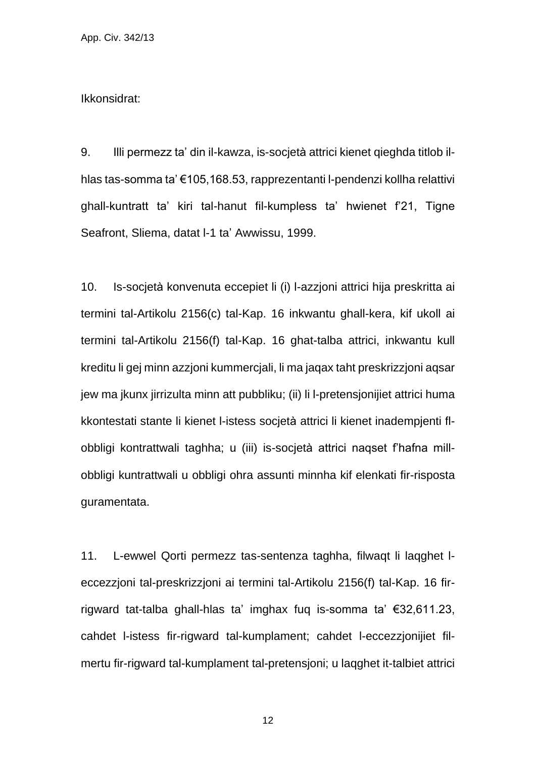#### Ikkonsidrat:

9. Illi permezz ta' din il-kawza, is-socjetà attrici kienet qieghda titlob ilhlas tas-somma ta' €105,168.53, rapprezentanti l-pendenzi kollha relattivi ghall-kuntratt ta' kiri tal-hanut fil-kumpless ta' hwienet f'21, Tigne Seafront, Sliema, datat l-1 ta' Awwissu, 1999.

10. Is-socjetà konvenuta eccepiet li (i) l-azzjoni attrici hija preskritta ai termini tal-Artikolu 2156(c) tal-Kap. 16 inkwantu ghall-kera, kif ukoll ai termini tal-Artikolu 2156(f) tal-Kap. 16 ghat-talba attrici, inkwantu kull kreditu li gej minn azzjoni kummercjali, li ma jaqax taht preskrizzjoni aqsar jew ma jkunx jirrizulta minn att pubbliku; (ii) li l-pretensjonijiet attrici huma kkontestati stante li kienet l-istess socjetà attrici li kienet inadempjenti flobbligi kontrattwali taghha; u (iii) is-socjetà attrici naqset f'hafna millobbligi kuntrattwali u obbligi ohra assunti minnha kif elenkati fir-risposta guramentata.

11. L-ewwel Qorti permezz tas-sentenza taghha, filwaqt li laqghet leccezzjoni tal-preskrizzjoni ai termini tal-Artikolu 2156(f) tal-Kap. 16 firrigward tat-talba ghall-hlas ta' imghax fuq is-somma ta' €32,611.23, cahdet l-istess fir-rigward tal-kumplament; cahdet l-eccezzjonijiet filmertu fir-rigward tal-kumplament tal-pretensjoni; u laqghet it-talbiet attrici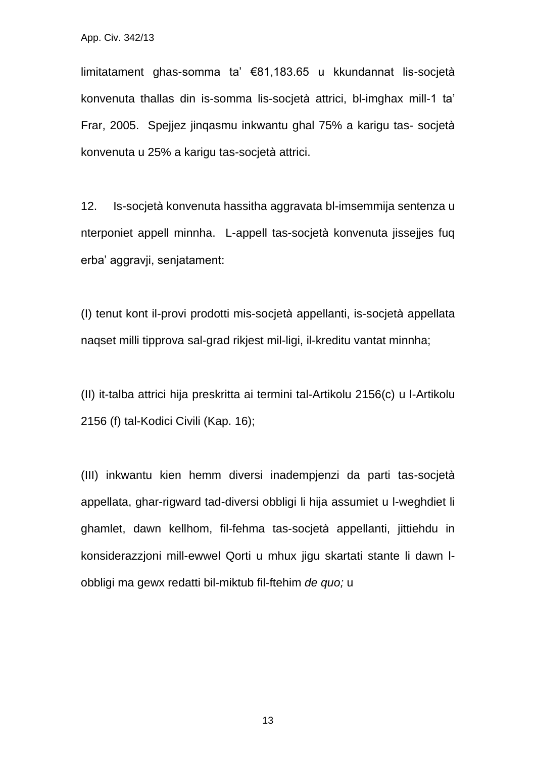limitatament ghas-somma ta' €81,183.65 u kkundannat lis-socjetà konvenuta thallas din is-somma lis-socjetà attrici, bl-imghax mill-1 ta' Frar, 2005. Spejjez jinqasmu inkwantu ghal 75% a karigu tas- socjetà konvenuta u 25% a karigu tas-socjetà attrici.

12. Is-socjetà konvenuta hassitha aggravata bl-imsemmija sentenza u nterponiet appell minnha. L-appell tas-socjetà konvenuta jissejjes fuq erba' aggravji, senjatament:

(I) tenut kont il-provi prodotti mis-socjetà appellanti, is-socjetà appellata naqset milli tipprova sal-grad rikjest mil-ligi, il-kreditu vantat minnha;

(II) it-talba attrici hija preskritta ai termini tal-Artikolu 2156(c) u l-Artikolu 2156 (f) tal-Kodici Civili (Kap. 16);

(III) inkwantu kien hemm diversi inadempjenzi da parti tas-socjetà appellata, ghar-rigward tad-diversi obbligi li hija assumiet u l-weghdiet li ghamlet, dawn kellhom, fil-fehma tas-socjetà appellanti, jittiehdu in konsiderazzjoni mill-ewwel Qorti u mhux jigu skartati stante li dawn lobbligi ma gewx redatti bil-miktub fil-ftehim *de quo;* u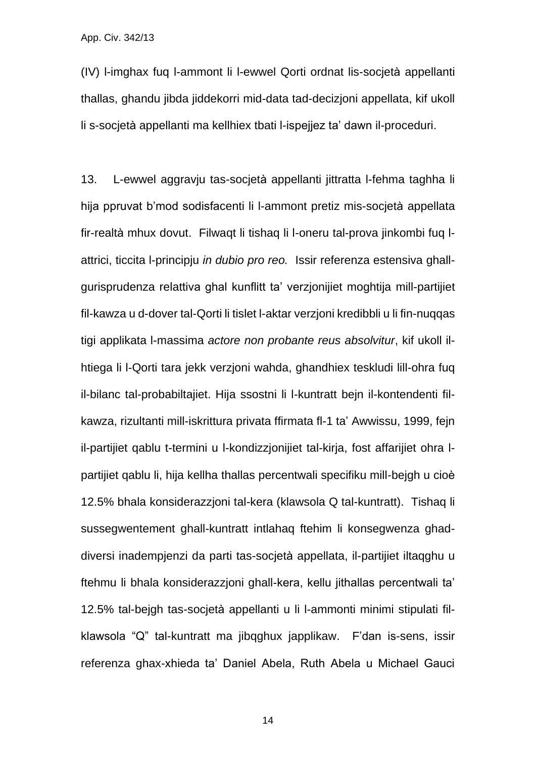(IV) l-imghax fuq l-ammont li l-ewwel Qorti ordnat lis-socjetà appellanti thallas, ghandu jibda jiddekorri mid-data tad-decizjoni appellata, kif ukoll li s-socjetà appellanti ma kellhiex tbati l-ispejjez ta' dawn il-proceduri.

13. L-ewwel aggravju tas-socjetà appellanti jittratta l-fehma taghha li hija ppruvat b'mod sodisfacenti li l-ammont pretiz mis-socjetà appellata fir-realtà mhux dovut. Filwaqt li tishaq li l-oneru tal-prova jinkombi fuq lattrici, ticcita l-principju *in dubio pro reo.* Issir referenza estensiva ghallgurisprudenza relattiva ghal kunflitt ta' verzjonijiet moghtija mill-partijiet fil-kawza u d-dover tal-Qorti li tislet l-aktar verzjoni kredibbli u li fin-nuqqas tigi applikata l-massima *actore non probante reus absolvitur*, kif ukoll ilhtiega li l-Qorti tara jekk verzjoni wahda, ghandhiex teskludi lill-ohra fuq il-bilanc tal-probabiltajiet. Hija ssostni li l-kuntratt bejn il-kontendenti filkawza, rizultanti mill-iskrittura privata ffirmata fl-1 ta' Awwissu, 1999, fejn il-partijiet qablu t-termini u l-kondizzjonijiet tal-kirja, fost affarijiet ohra lpartijiet qablu li, hija kellha thallas percentwali specifiku mill-bejgh u cioè 12.5% bhala konsiderazzjoni tal-kera (klawsola Q tal-kuntratt). Tishaq li sussegwentement ghall-kuntratt intlahaq ftehim li konsegwenza ghaddiversi inadempjenzi da parti tas-socjetà appellata, il-partijiet iltaqghu u ftehmu li bhala konsiderazzjoni ghall-kera, kellu jithallas percentwali ta' 12.5% tal-bejgh tas-socjetà appellanti u li l-ammonti minimi stipulati filklawsola "Q" tal-kuntratt ma jibqghux japplikaw. F'dan is-sens, issir referenza ghax-xhieda ta' Daniel Abela, Ruth Abela u Michael Gauci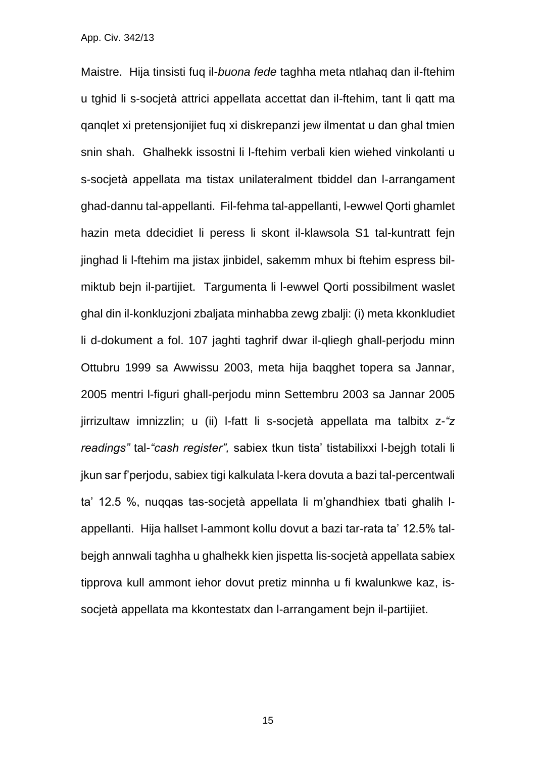Maistre. Hija tinsisti fuq il-*buona fede* taghha meta ntlahaq dan il-ftehim u tghid li s-socjetà attrici appellata accettat dan il-ftehim, tant li qatt ma qanqlet xi pretensjonijiet fuq xi diskrepanzi jew ilmentat u dan ghal tmien snin shah. Ghalhekk issostni li l-ftehim verbali kien wiehed vinkolanti u s-socjetà appellata ma tistax unilateralment tbiddel dan l-arrangament ghad-dannu tal-appellanti. Fil-fehma tal-appellanti, l-ewwel Qorti ghamlet hazin meta ddecidiet li peress li skont il-klawsola S1 tal-kuntratt fejn jinghad li l-ftehim ma jistax jinbidel, sakemm mhux bi ftehim espress bilmiktub bejn il-partijiet. Targumenta li l-ewwel Qorti possibilment waslet ghal din il-konkluzjoni zbaljata minhabba zewg zbalji: (i) meta kkonkludiet li d-dokument a fol. 107 jaghti taghrif dwar il-qliegh ghall-perjodu minn Ottubru 1999 sa Awwissu 2003, meta hija baqghet topera sa Jannar, 2005 mentri l-figuri ghall-perjodu minn Settembru 2003 sa Jannar 2005 jirrizultaw imnizzlin; u (ii) l-fatt li s-socjetà appellata ma talbitx z-*"z readings"* tal-*"cash register",* sabiex tkun tista' tistabilixxi l-bejgh totali li jkun sar f'perjodu, sabiex tigi kalkulata l-kera dovuta a bazi tal-percentwali ta' 12.5 %, nuqqas tas-socjetà appellata li m'ghandhiex tbati ghalih lappellanti. Hija hallset l-ammont kollu dovut a bazi tar-rata ta' 12.5% talbejgh annwali taghha u ghalhekk kien jispetta lis-socjetà appellata sabiex tipprova kull ammont iehor dovut pretiz minnha u fi kwalunkwe kaz, issocjetà appellata ma kkontestatx dan l-arrangament bejn il-partijiet.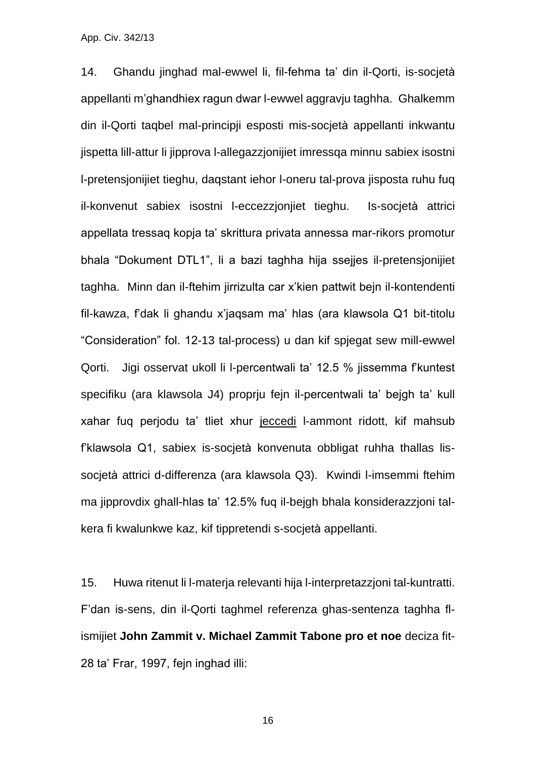App. Civ. 342/13

14. Ghandu jinghad mal-ewwel li, fil-fehma ta' din il-Qorti, is-socjetà appellanti m'ghandhiex ragun dwar l-ewwel aggravju taghha. Ghalkemm din il-Qorti taqbel mal-principji esposti mis-socjetà appellanti inkwantu jispetta lill-attur li jipprova l-allegazzjonijiet imressqa minnu sabiex isostni l-pretensjonijiet tieghu, daqstant iehor l-oneru tal-prova jisposta ruhu fuq il-konvenut sabiex isostni l-eccezzjonjiet tieghu. Is-socjetà attrici appellata tressaq kopja ta' skrittura privata annessa mar-rikors promotur bhala "Dokument DTL1", li a bazi taghha hija ssejjes il-pretensjonijiet taghha. Minn dan il-ftehim jirrizulta car x'kien pattwit bejn il-kontendenti fil-kawza, f'dak li ghandu x'jaqsam ma' hlas (ara klawsola Q1 bit-titolu "Consideration" fol. 12-13 tal-process) u dan kif spjegat sew mill-ewwel Qorti. Jigi osservat ukoll li l-percentwali ta' 12.5 % jissemma f'kuntest specifiku (ara klawsola J4) proprju fejn il-percentwali ta' bejgh ta' kull xahar fuq perjodu ta' tliet xhur jeccedi l-ammont ridott, kif mahsub f'klawsola Q1, sabiex is-socjetà konvenuta obbligat ruhha thallas lissocjetà attrici d-differenza (ara klawsola Q3). Kwindi l-imsemmi ftehim ma jipprovdix ghall-hlas ta' 12.5% fuq il-bejgh bhala konsiderazzjoni talkera fi kwalunkwe kaz, kif tippretendi s-socjetà appellanti.

15. Huwa ritenut li l-materja relevanti hija l-interpretazzjoni tal-kuntratti. F'dan is-sens, din il-Qorti taghmel referenza ghas-sentenza taghha flismijiet **John Zammit v. Michael Zammit Tabone pro et noe** deciza fit-28 ta' Frar, 1997, fejn inghad illi: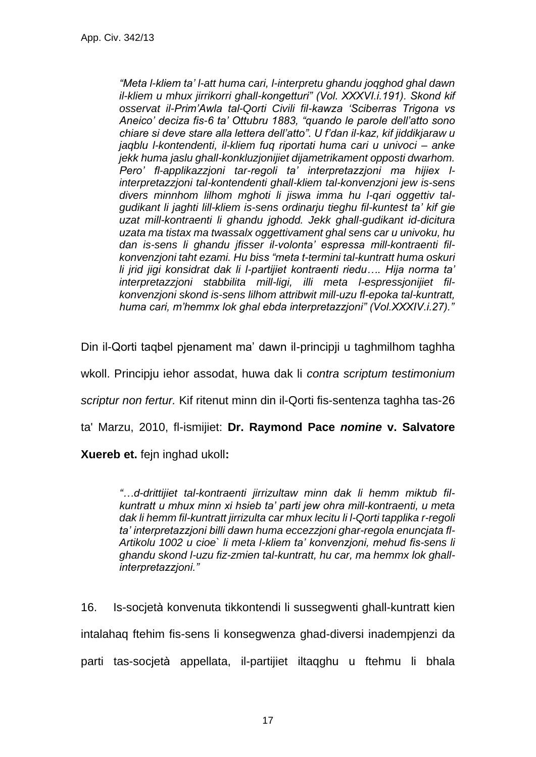*"Meta l-kliem ta' l-att huma cari, l-interpretu ghandu joqghod ghal dawn il-kliem u mhux jirrikorri ghall-kongetturi" (Vol. XXXVI.i.191). Skond kif osservat il-Prim'Awla tal-Qorti Civili fil-kawza 'Sciberras Trigona vs Aneico' deciza fis-6 ta' Ottubru 1883, "quando le parole dell'atto sono chiare si deve stare alla lettera dell'atto". U f'dan il-kaz, kif jiddikjaraw u jaqblu l-kontendenti, il-kliem fuq riportati huma cari u univoci – anke jekk huma jaslu ghall-konkluzjonijiet dijametrikament opposti dwarhom. Pero' fl-applikazzjoni tar-regoli ta' interpretazzjoni ma hijiex linterpretazzjoni tal-kontendenti ghall-kliem tal-konvenzjoni jew is-sens divers minnhom lilhom mghoti li jiswa imma hu l-qari oggettiv talgudikant li jaghti lill-kliem is-sens ordinarju tieghu fil-kuntest ta' kif gie uzat mill-kontraenti li ghandu jghodd. Jekk ghall-gudikant id-dicitura uzata ma tistax ma twassalx oggettivament ghal sens car u univoku, hu dan is-sens li ghandu jfisser il-volonta' espressa mill-kontraenti filkonvenzjoni taht ezami. Hu biss "meta t-termini tal-kuntratt huma oskuri li jrid jigi konsidrat dak li l-partijiet kontraenti riedu…. Hija norma ta' interpretazzjoni stabbilita mill-ligi, illi meta l-espressjonijiet filkonvenzjoni skond is-sens lilhom attribwit mill-uzu fl-epoka tal-kuntratt, huma cari, m'hemmx lok ghal ebda interpretazzjoni" (Vol.XXXIV.i.27)."*

Din il-Qorti taqbel pjenament ma' dawn il-principji u taghmilhom taghha

wkoll. Principju iehor assodat, huwa dak li *contra scriptum testimonium* 

*scriptur non fertur.* Kif ritenut minn din il-Qorti fis-sentenza taghha tas-26

ta' Marzu, 2010, fl-ismijiet: **Dr. Raymond Pace** *nomine* **v. Salvatore** 

**Xuereb et.** fejn inghad ukoll**:**

*"…d-drittijiet tal-kontraenti jirrizultaw minn dak li hemm miktub filkuntratt u mhux minn xi hsieb ta' parti jew ohra mill-kontraenti, u meta dak li hemm fil-kuntratt jirrizulta car mhux lecitu li l-Qorti tapplika r-regoli ta' interpretazzjoni billi dawn huma eccezzjoni ghar-regola enuncjata fl-Artikolu 1002 u cioe` li meta l-kliem ta' konvenzjoni, mehud fis-sens li ghandu skond l-uzu fiz-zmien tal-kuntratt, hu car, ma hemmx lok ghallinterpretazzjoni."* 

16. Is-socjetà konvenuta tikkontendi li sussegwenti ghall-kuntratt kien intalahaq ftehim fis-sens li konsegwenza ghad-diversi inadempjenzi da parti tas-socjetà appellata, il-partijiet iltaqghu u ftehmu li bhala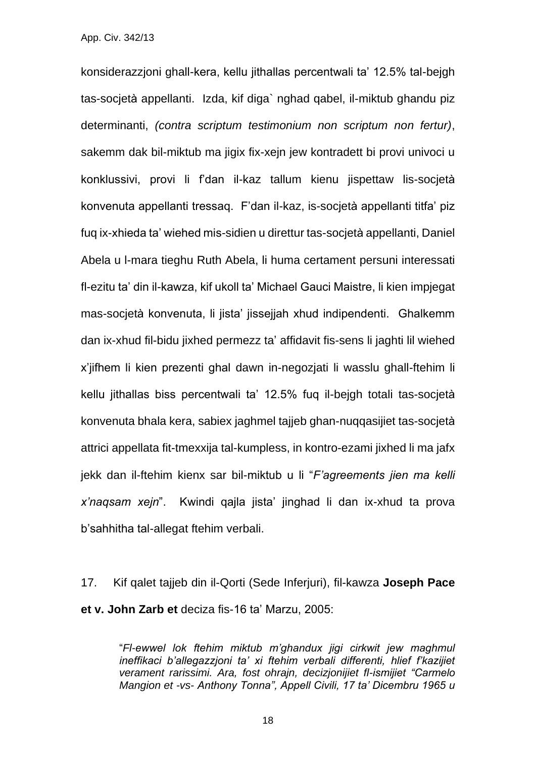konsiderazzjoni ghall-kera, kellu jithallas percentwali ta' 12.5% tal-bejgh tas-socjetà appellanti. Izda, kif diga` nghad qabel, il-miktub ghandu piz determinanti, *(contra scriptum testimonium non scriptum non fertur)*, sakemm dak bil-miktub ma jigix fix-xejn jew kontradett bi provi univoci u konklussivi, provi li f'dan il-kaz tallum kienu jispettaw lis-socjetà konvenuta appellanti tressaq. F'dan il-kaz, is-socjetà appellanti titfa' piz fuq ix-xhieda ta' wiehed mis-sidien u direttur tas-socjetà appellanti, Daniel Abela u l-mara tieghu Ruth Abela, li huma certament persuni interessati fl-ezitu ta' din il-kawza, kif ukoll ta' Michael Gauci Maistre, li kien impjegat mas-socjetà konvenuta, li jista' jissejjah xhud indipendenti. Ghalkemm dan ix-xhud fil-bidu jixhed permezz ta' affidavit fis-sens li jaghti lil wiehed x'jifhem li kien prezenti ghal dawn in-negozjati li wasslu ghall-ftehim li kellu jithallas biss percentwali ta' 12.5% fuq il-bejgh totali tas-socjetà konvenuta bhala kera, sabiex jaghmel tajjeb ghan-nuqqasijiet tas-socjetà attrici appellata fit-tmexxija tal-kumpless, in kontro-ezami jixhed li ma jafx jekk dan il-ftehim kienx sar bil-miktub u li "*F'agreements jien ma kelli x'naqsam xejn*". Kwindi qajla jista' jinghad li dan ix-xhud ta prova b'sahhitha tal-allegat ftehim verbali.

17. Kif qalet tajjeb din il-Qorti (Sede Inferjuri), fil-kawza **Joseph Pace et v. John Zarb et** deciza fis-16 ta' Marzu, 2005:

"*Fl-ewwel lok ftehim miktub m'ghandux jigi cirkwit jew maghmul ineffikaci b'allegazzjoni ta' xi ftehim verbali differenti, hlief f'kazijiet verament rarissimi. Ara, fost ohrajn, decizjonijiet fl-ismijiet "Carmelo Mangion et -vs- Anthony Tonna", Appell Civili, 17 ta' Dicembru 1965 u*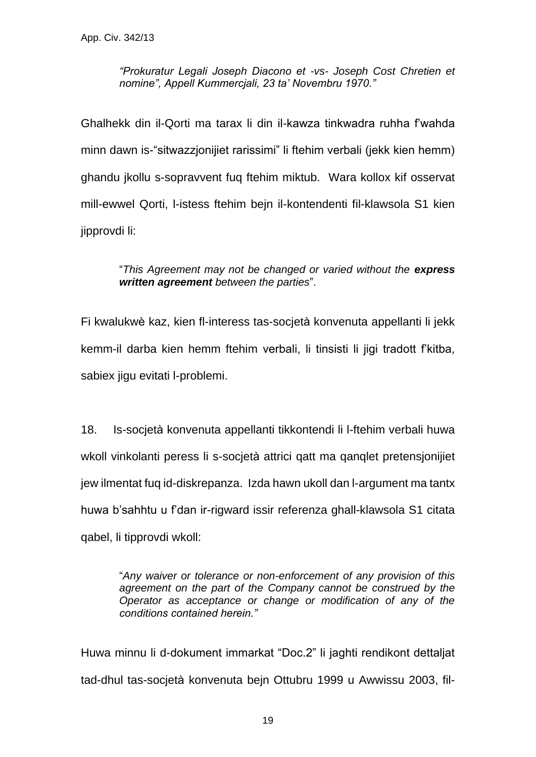*"Prokuratur Legali Joseph Diacono et -vs- Joseph Cost Chretien et nomine", Appell Kummercjali, 23 ta' Novembru 1970."* 

Ghalhekk din il-Qorti ma tarax li din il-kawza tinkwadra ruhha f'wahda minn dawn is-"sitwazzjonijiet rarissimi" li ftehim verbali (jekk kien hemm) ghandu jkollu s-sopravvent fuq ftehim miktub. Wara kollox kif osservat mill-ewwel Qorti, l-istess ftehim bejn il-kontendenti fil-klawsola S1 kien jipprovdi li:

#### "*This Agreement may not be changed or varied without the express written agreement between the parties*".

Fi kwalukwè kaz, kien fl-interess tas-socjetà konvenuta appellanti li jekk kemm-il darba kien hemm ftehim verbali, li tinsisti li jigi tradott f'kitba, sabiex jigu evitati l-problemi.

18. Is-socjetà konvenuta appellanti tikkontendi li l-ftehim verbali huwa wkoll vinkolanti peress li s-socjetà attrici qatt ma qanqlet pretensjonijiet jew ilmentat fuq id-diskrepanza. Izda hawn ukoll dan l-argument ma tantx huwa b'sahhtu u f'dan ir-rigward issir referenza ghall-klawsola S1 citata qabel, li tipprovdi wkoll:

> "*Any waiver or tolerance or non-enforcement of any provision of this agreement on the part of the Company cannot be construed by the Operator as acceptance or change or modification of any of the conditions contained herein."*

Huwa minnu li d-dokument immarkat "Doc.2" li jaghti rendikont dettaljat tad-dhul tas-socjetà konvenuta bejn Ottubru 1999 u Awwissu 2003, fil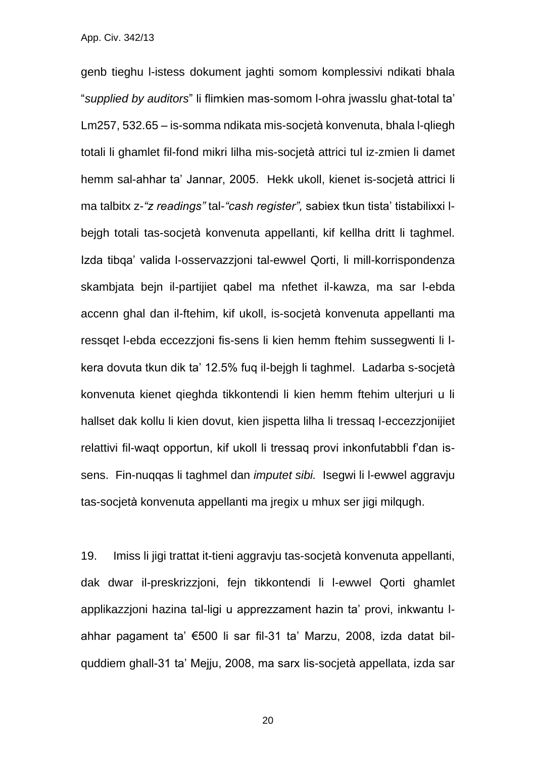genb tieghu l-istess dokument jaghti somom komplessivi ndikati bhala "*supplied by auditors*" li flimkien mas-somom l-ohra jwasslu ghat-total ta' Lm257, 532.65 – is-somma ndikata mis-socjetà konvenuta, bhala l-qliegh totali li ghamlet fil-fond mikri lilha mis-socjetà attrici tul iz-zmien li damet hemm sal-ahhar ta' Jannar, 2005. Hekk ukoll, kienet is-socjetà attrici li ma talbitx z-*"z readings"* tal-*"cash register",* sabiex tkun tista' tistabilixxi lbejgh totali tas-socjetà konvenuta appellanti, kif kellha dritt li taghmel. Izda tibqa' valida l-osservazzjoni tal-ewwel Qorti, li mill-korrispondenza skambjata bejn il-partijiet qabel ma nfethet il-kawza, ma sar l-ebda accenn ghal dan il-ftehim, kif ukoll, is-socjetà konvenuta appellanti ma ressqet l-ebda eccezzjoni fis-sens li kien hemm ftehim sussegwenti li lkera dovuta tkun dik ta' 12.5% fuq il-bejgh li taghmel. Ladarba s-socjetà konvenuta kienet qieghda tikkontendi li kien hemm ftehim ulterjuri u li hallset dak kollu li kien dovut, kien jispetta lilha li tressaq l-eccezzjonijiet relattivi fil-waqt opportun, kif ukoll li tressaq provi inkonfutabbli f'dan issens. Fin-nuqqas li taghmel dan *imputet sibi.* Isegwi li l-ewwel aggravju tas-socjetà konvenuta appellanti ma jregix u mhux ser jigi milqugh.

19. Imiss li jigi trattat it-tieni aggravju tas-socjetà konvenuta appellanti, dak dwar il-preskrizzjoni, fejn tikkontendi li l-ewwel Qorti ghamlet applikazzjoni hazina tal-ligi u apprezzament hazin ta' provi, inkwantu lahhar pagament ta' €500 li sar fil-31 ta' Marzu, 2008, izda datat bilquddiem ghall-31 ta' Mejju, 2008, ma sarx lis-socjetà appellata, izda sar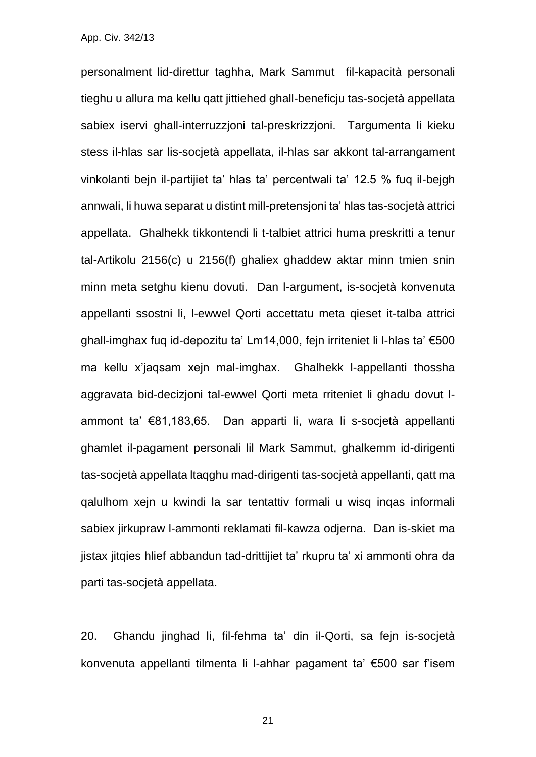personalment lid-direttur taghha, Mark Sammut fil-kapacità personali tieghu u allura ma kellu qatt jittiehed ghall-beneficju tas-socjetà appellata sabiex iservi ghall-interruzzjoni tal-preskrizzjoni. Targumenta li kieku stess il-hlas sar lis-socjetà appellata, il-hlas sar akkont tal-arrangament vinkolanti bejn il-partijiet ta' hlas ta' percentwali ta' 12.5 % fuq il-bejgh annwali, li huwa separat u distint mill-pretensjoni ta' hlas tas-socjetà attrici appellata. Ghalhekk tikkontendi li t-talbiet attrici huma preskritti a tenur tal-Artikolu 2156(c) u 2156(f) ghaliex ghaddew aktar minn tmien snin minn meta setghu kienu dovuti. Dan l-argument, is-socjetà konvenuta appellanti ssostni li, l-ewwel Qorti accettatu meta qieset it-talba attrici ghall-imghax fuq id-depozitu ta' Lm14,000, fejn irriteniet li l-hlas ta' €500 ma kellu x'jaqsam xejn mal-imghax. Ghalhekk l-appellanti thossha aggravata bid-decizjoni tal-ewwel Qorti meta rriteniet li ghadu dovut lammont ta' €81,183,65. Dan apparti li, wara li s-socjetà appellanti ghamlet il-pagament personali lil Mark Sammut, ghalkemm id-dirigenti tas-socjetà appellata ltaqghu mad-dirigenti tas-socjetà appellanti, qatt ma qalulhom xejn u kwindi la sar tentattiv formali u wisq inqas informali sabiex jirkupraw l-ammonti reklamati fil-kawza odjerna. Dan is-skiet ma jistax jitqies hlief abbandun tad-drittijiet ta' rkupru ta' xi ammonti ohra da parti tas-socjetà appellata.

20. Ghandu jinghad li, fil-fehma ta' din il-Qorti, sa fejn is-socjetà konvenuta appellanti tilmenta li l-ahhar pagament ta' €500 sar f'isem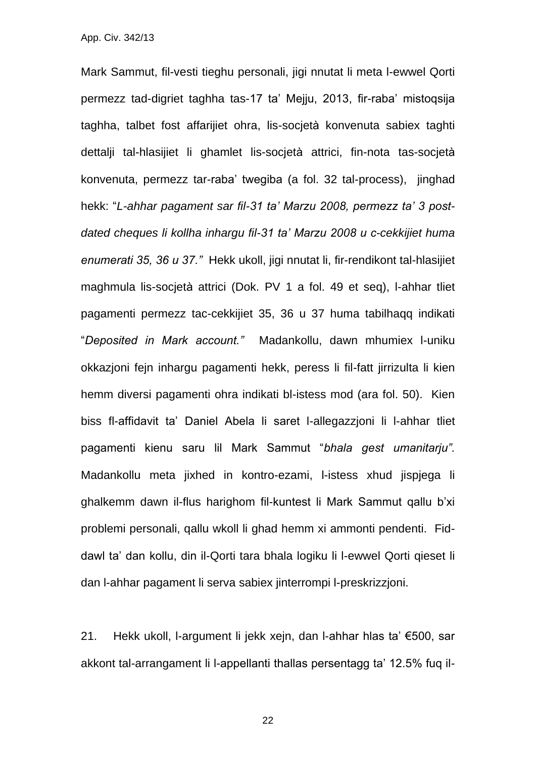Mark Sammut, fil-vesti tieghu personali, jigi nnutat li meta l-ewwel Qorti permezz tad-digriet taghha tas-17 ta' Mejju, 2013, fir-raba' mistoqsija taghha, talbet fost affarijiet ohra, lis-socjetà konvenuta sabiex taghti dettalji tal-hlasijiet li ghamlet lis-socjetà attrici, fin-nota tas-socjetà konvenuta, permezz tar-raba' twegiba (a fol. 32 tal-process), jinghad hekk: "*L-ahhar pagament sar fil-31 ta' Marzu 2008, permezz ta' 3 postdated cheques li kollha inhargu fil-31 ta' Marzu 2008 u c-cekkijiet huma enumerati 35, 36 u 37."* Hekk ukoll, jigi nnutat li, fir-rendikont tal-hlasijiet maghmula lis-socjetà attrici (Dok. PV 1 a fol. 49 et seq), l-ahhar tliet pagamenti permezz tac-cekkijiet 35, 36 u 37 huma tabilhaqq indikati "*Deposited in Mark account."* Madankollu, dawn mhumiex l-uniku okkazjoni fejn inhargu pagamenti hekk, peress li fil-fatt jirrizulta li kien hemm diversi pagamenti ohra indikati bl-istess mod (ara fol. 50). Kien biss fl-affidavit ta' Daniel Abela li saret l-allegazzjoni li l-ahhar tliet pagamenti kienu saru lil Mark Sammut "*bhala gest umanitarju".* Madankollu meta jixhed in kontro-ezami, l-istess xhud jispjega li ghalkemm dawn il-flus harighom fil-kuntest li Mark Sammut qallu b'xi problemi personali, qallu wkoll li ghad hemm xi ammonti pendenti. Fiddawl ta' dan kollu, din il-Qorti tara bhala logiku li l-ewwel Qorti qieset li dan l-ahhar pagament li serva sabiex jinterrompi l-preskrizzjoni.

21. Hekk ukoll, l-argument li jekk xejn, dan l-ahhar hlas ta' €500, sar akkont tal-arrangament li l-appellanti thallas persentagg ta' 12.5% fuq il-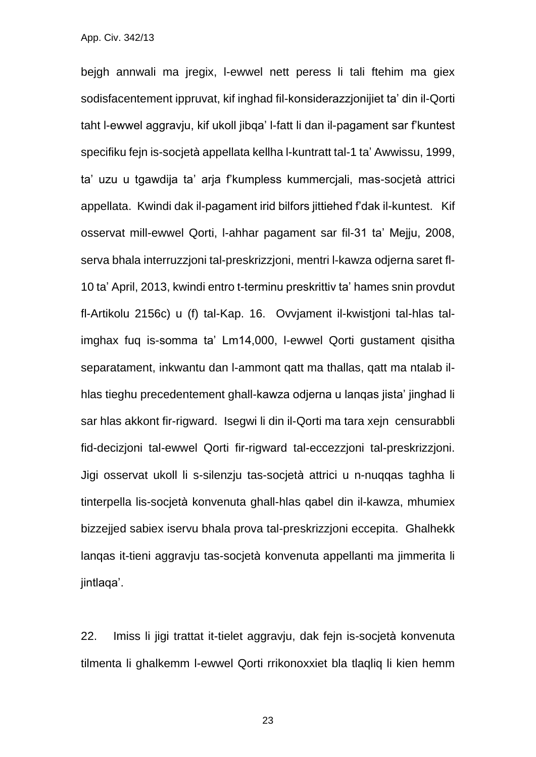bejgh annwali ma jregix, l-ewwel nett peress li tali ftehim ma giex sodisfacentement ippruvat, kif inghad fil-konsiderazzjonijiet ta' din il-Qorti taht l-ewwel aggravju, kif ukoll jibqa' l-fatt li dan il-pagament sar f'kuntest specifiku fejn is-socjetà appellata kellha l-kuntratt tal-1 ta' Awwissu, 1999, ta' uzu u tgawdija ta' arja f'kumpless kummercjali, mas-socjetà attrici appellata. Kwindi dak il-pagament irid bilfors jittiehed f'dak il-kuntest. Kif osservat mill-ewwel Qorti, l-ahhar pagament sar fil-31 ta' Mejju, 2008, serva bhala interruzzjoni tal-preskrizzjoni, mentri l-kawza odjerna saret fl-10 ta' April, 2013, kwindi entro t-terminu preskrittiv ta' hames snin provdut fl-Artikolu 2156c) u (f) tal-Kap. 16. Ovvjament il-kwistjoni tal-hlas talimghax fuq is-somma ta' Lm14,000, l-ewwel Qorti gustament qisitha separatament, inkwantu dan l-ammont qatt ma thallas, qatt ma ntalab ilhlas tieghu precedentement ghall-kawza odjerna u lanqas jista' jinghad li sar hlas akkont fir-rigward. Isegwi li din il-Qorti ma tara xejn censurabbli fid-decizjoni tal-ewwel Qorti fir-rigward tal-eccezzjoni tal-preskrizzjoni. Jigi osservat ukoll li s-silenzju tas-socjetà attrici u n-nuqqas taghha li tinterpella lis-socjetà konvenuta ghall-hlas qabel din il-kawza, mhumiex bizzejjed sabiex iservu bhala prova tal-preskrizzjoni eccepita. Ghalhekk lanqas it-tieni aggravju tas-socjetà konvenuta appellanti ma jimmerita li jintlaqa'.

22. Imiss li jigi trattat it-tielet aggravju, dak fejn is-socjetà konvenuta tilmenta li ghalkemm l-ewwel Qorti rrikonoxxiet bla tlaqliq li kien hemm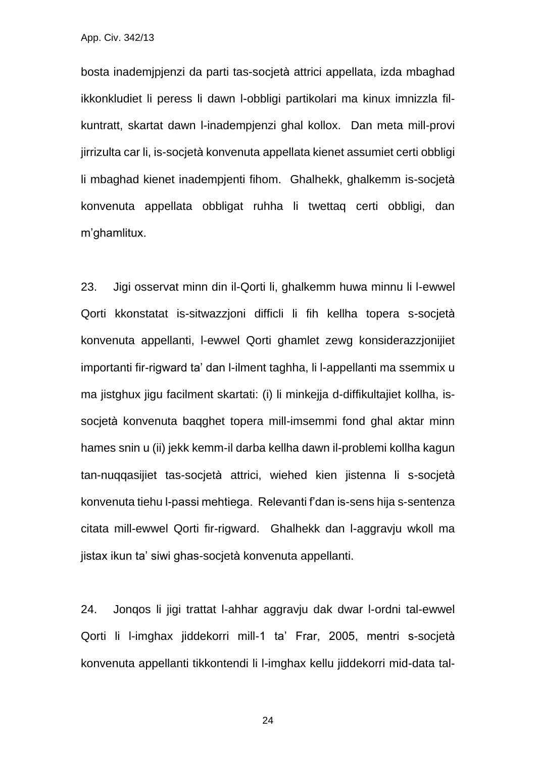App. Civ. 342/13

bosta inademjpjenzi da parti tas-socjetà attrici appellata, izda mbaghad ikkonkludiet li peress li dawn l-obbligi partikolari ma kinux imnizzla filkuntratt, skartat dawn l-inadempjenzi ghal kollox. Dan meta mill-provi jirrizulta car li, is-socjetà konvenuta appellata kienet assumiet certi obbligi li mbaghad kienet inadempjenti fihom. Ghalhekk, ghalkemm is-socjetà konvenuta appellata obbligat ruhha li twettaq certi obbligi, dan m'ghamlitux.

23. Jigi osservat minn din il-Qorti li, ghalkemm huwa minnu li l-ewwel Qorti kkonstatat is-sitwazzjoni difficli li fih kellha topera s-socjetà konvenuta appellanti, l-ewwel Qorti ghamlet zewg konsiderazzjonijiet importanti fir-rigward ta' dan l-ilment taghha, li l-appellanti ma ssemmix u ma jistghux jigu facilment skartati: (i) li minkejja d-diffikultajiet kollha, issocjetà konvenuta baqghet topera mill-imsemmi fond ghal aktar minn hames snin u (ii) jekk kemm-il darba kellha dawn il-problemi kollha kagun tan-nuqqasijiet tas-socjetà attrici, wiehed kien jistenna li s-socjetà konvenuta tiehu l-passi mehtiega. Relevanti f'dan is-sens hija s-sentenza citata mill-ewwel Qorti fir-rigward. Ghalhekk dan l-aggravju wkoll ma jistax ikun ta' siwi ghas-socjetà konvenuta appellanti.

24. Jonqos li jigi trattat l-ahhar aggravju dak dwar l-ordni tal-ewwel Qorti li l-imghax jiddekorri mill-1 ta' Frar, 2005, mentri s-socjetà konvenuta appellanti tikkontendi li l-imghax kellu jiddekorri mid-data tal-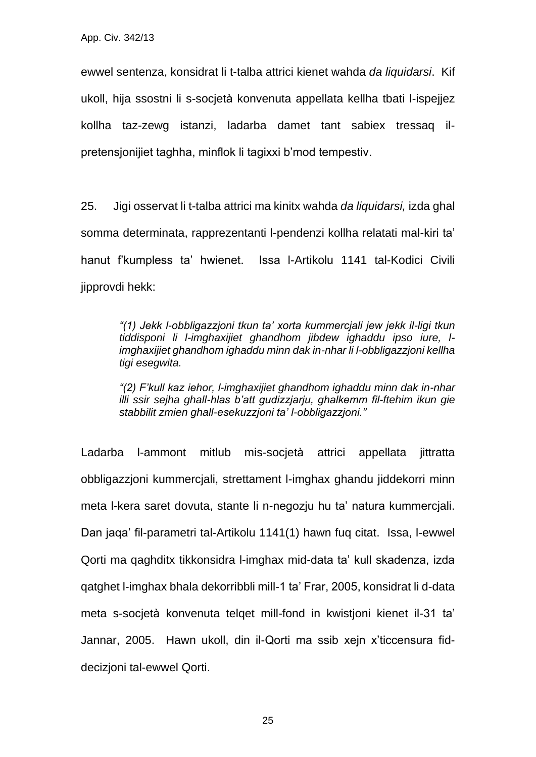ewwel sentenza, konsidrat li t-talba attrici kienet wahda *da liquidarsi*. Kif ukoll, hija ssostni li s-socjetà konvenuta appellata kellha tbati l-ispejjez kollha taz-zewg istanzi, ladarba damet tant sabiex tressaq ilpretensjonijiet taghha, minflok li tagixxi b'mod tempestiv.

25. Jigi osservat li t-talba attrici ma kinitx wahda *da liquidarsi,* izda ghal somma determinata, rapprezentanti l-pendenzi kollha relatati mal-kiri ta' hanut f'kumpless ta' hwienet. Issa l-Artikolu 1141 tal-Kodici Civili jipprovdi hekk:

> *"(1) Jekk l-obbligazzjoni tkun ta' xorta kummercjali jew jekk il-ligi tkun tiddisponi li l-imghaxijiet ghandhom jibdew ighaddu ipso iure, limghaxijiet ghandhom ighaddu minn dak in-nhar li l-obbligazzjoni kellha tigi esegwita.*

> *"(2) F'kull kaz iehor, l-imghaxijiet ghandhom ighaddu minn dak in-nhar illi ssir sejha ghall-hlas b'att gudizzjarju, ghalkemm fil-ftehim ikun gie stabbilit zmien ghall-esekuzzjoni ta' l-obbligazzjoni."*

Ladarba l-ammont mitlub mis-socjetà attrici appellata jittratta obbligazzjoni kummercjali, strettament l-imghax ghandu jiddekorri minn meta l-kera saret dovuta, stante li n-negozju hu ta' natura kummercjali. Dan jaqa' fil-parametri tal-Artikolu 1141(1) hawn fuq citat. Issa, l-ewwel Qorti ma qaghditx tikkonsidra l-imghax mid-data ta' kull skadenza, izda qatghet l-imghax bhala dekorribbli mill-1 ta' Frar, 2005, konsidrat li d-data meta s-socjetà konvenuta telqet mill-fond in kwistjoni kienet il-31 ta' Jannar, 2005. Hawn ukoll, din il-Qorti ma ssib xejn x'ticcensura fiddecizjoni tal-ewwel Qorti.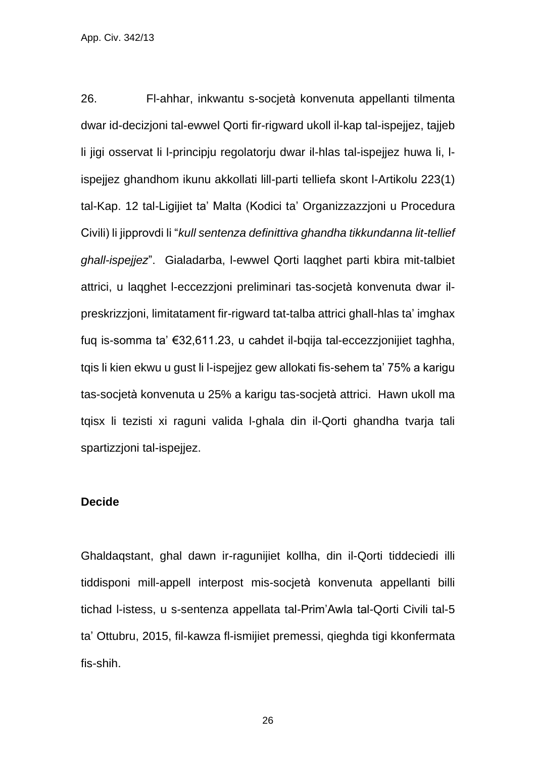26. Fl-ahhar, inkwantu s-socjetà konvenuta appellanti tilmenta dwar id-decizjoni tal-ewwel Qorti fir-rigward ukoll il-kap tal-ispejjez, tajjeb li jigi osservat li l-principju regolatorju dwar il-hlas tal-ispejjez huwa li, lispejjez ghandhom ikunu akkollati lill-parti telliefa skont l-Artikolu 223(1) tal-Kap. 12 tal-Ligijiet ta' Malta (Kodici ta' Organizzazzjoni u Procedura Civili) li jipprovdi li "*kull sentenza definittiva ghandha tikkundanna lit-tellief ghall-ispejjez*". Gialadarba, l-ewwel Qorti laqghet parti kbira mit-talbiet attrici, u laqghet l-eccezzjoni preliminari tas-socjetà konvenuta dwar ilpreskrizzjoni, limitatament fir-rigward tat-talba attrici ghall-hlas ta' imghax fuq is-somma ta' €32,611.23, u cahdet il-bqija tal-eccezzjonijiet taghha, tqis li kien ekwu u gust li l-ispejjez gew allokati fis-sehem ta' 75% a karigu tas-socjetà konvenuta u 25% a karigu tas-socjetà attrici. Hawn ukoll ma tqisx li tezisti xi raguni valida l-ghala din il-Qorti ghandha tvarja tali spartizzjoni tal-ispejjez.

#### **Decide**

Ghaldaqstant, ghal dawn ir-ragunijiet kollha, din il-Qorti tiddeciedi illi tiddisponi mill-appell interpost mis-socjetà konvenuta appellanti billi tichad l-istess, u s-sentenza appellata tal-Prim'Awla tal-Qorti Civili tal-5 ta' Ottubru, 2015, fil-kawza fl-ismijiet premessi, qieghda tigi kkonfermata fis-shih.